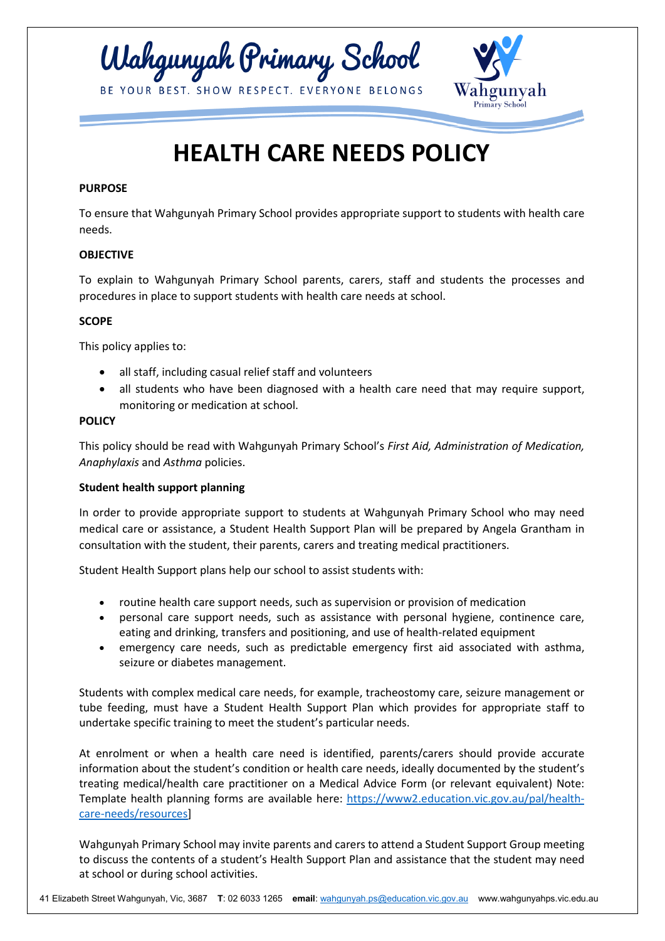



# **HEALTH CARE NEEDS POLICY**

# **PURPOSE**

To ensure that Wahgunyah Primary School provides appropriate support to students with health care needs.

### **OBJECTIVE**

To explain to Wahgunyah Primary School parents, carers, staff and students the processes and procedures in place to support students with health care needs at school.

# **SCOPE**

This policy applies to:

- all staff, including casual relief staff and volunteers
- all students who have been diagnosed with a health care need that may require support, monitoring or medication at school.

### **POLICY**

This policy should be read with Wahgunyah Primary School's *First Aid, Administration of Medication, Anaphylaxis* and *Asthma* policies.

### **Student health support planning**

In order to provide appropriate support to students at Wahgunyah Primary School who may need medical care or assistance, a Student Health Support Plan will be prepared by Angela Grantham in consultation with the student, their parents, carers and treating medical practitioners.

Student Health Support plans help our school to assist students with:

- routine health care support needs, such as supervision or provision of medication
- personal care support needs, such as assistance with personal hygiene, continence care, eating and drinking, transfers and positioning, and use of health-related equipment
- emergency care needs, such as predictable emergency first aid associated with asthma, seizure or diabetes management.

Students with complex medical care needs, for example, tracheostomy care, seizure management or tube feeding, must have a Student Health Support Plan which provides for appropriate staff to undertake specific training to meet the student's particular needs.

At enrolment or when a health care need is identified, parents/carers should provide accurate information about the student's condition or health care needs, ideally documented by the student's treating medical/health care practitioner on a Medical Advice Form (or relevant equivalent) Note: Template health planning forms are available here: [https://www2.education.vic.gov.au/pal/health](https://www2.education.vic.gov.au/pal/health-care-needs/resources)[care-needs/resources\]](https://www2.education.vic.gov.au/pal/health-care-needs/resources)

Wahgunyah Primary School may invite parents and carers to attend a Student Support Group meeting to discuss the contents of a student's Health Support Plan and assistance that the student may need at school or during school activities.